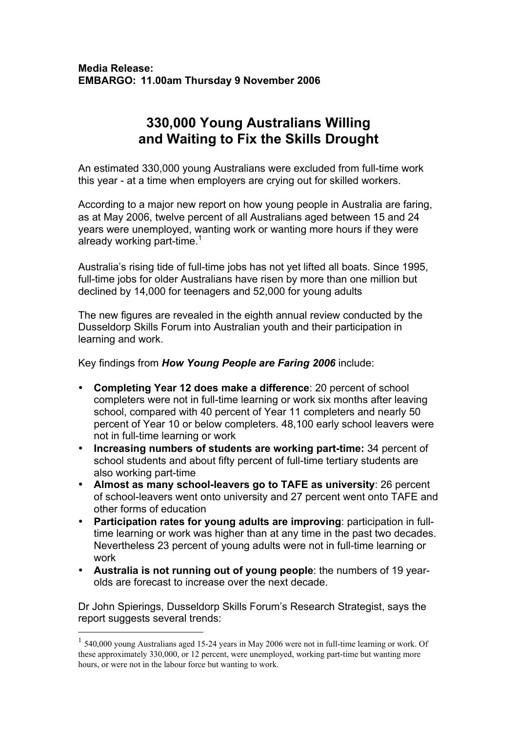## **330,000 Young Australians Willing and Waiting to Fix the Skills Drought**

An estimated 330,000 young Australians were excluded from full-time work this year - at a time when employers are crying out for skilled workers.

According to a major new report on how young people in Australia are faring, as at May 2006, twelve percent of all Australians aged between 15 and 24 years were unemployed, wanting work or wanting more hours if they were already working part-time.<sup>1</sup>

Australia's rising tide of full-time jobs has not yet lifted all boats. Since 1995, full-time jobs for older Australians have risen by more than one million but declined by 14,000 for teenagers and 52,000 for young adults

The new figures are revealed in the eighth annual review conducted by the Dusseldorp Skills Forum into Australian youth and their participation in learning and work.

Key findings from *How Young People are Faring 2006* include:

- **Completing Year 12 does make a difference**: 20 percent of school completers were not in full-time learning or work six months after leaving school, compared with 40 percent of Year 11 completers and nearly 50 percent of Year 10 or below completers. 48,100 early school leavers were not in full-time learning or work
- **Increasing numbers of students are working part-time:** 34 percent of school students and about fifty percent of full-time tertiary students are also working part-time
- **Almost as many school-leavers go to TAFE as university**: 26 percent of school-leavers went onto university and 27 percent went onto TAFE and other forms of education
- **Participation rates for young adults are improving**: participation in fulltime learning or work was higher than at any time in the past two decades. Nevertheless 23 percent of young adults were not in full-time learning or work
- **Australia is not running out of young people**: the numbers of 19 yearolds are forecast to increase over the next decade.

Dr John Spierings, Dusseldorp Skills Forum's Research Strategist, says the report suggests several trends:

 $1$  540,000 young Australians aged 15-24 years in May 2006 were not in full-time learning or work. Of these approximately 330,000, or 12 percent, were unemployed, working part-time but wanting more hours, or were not in the labour force but wanting to work.